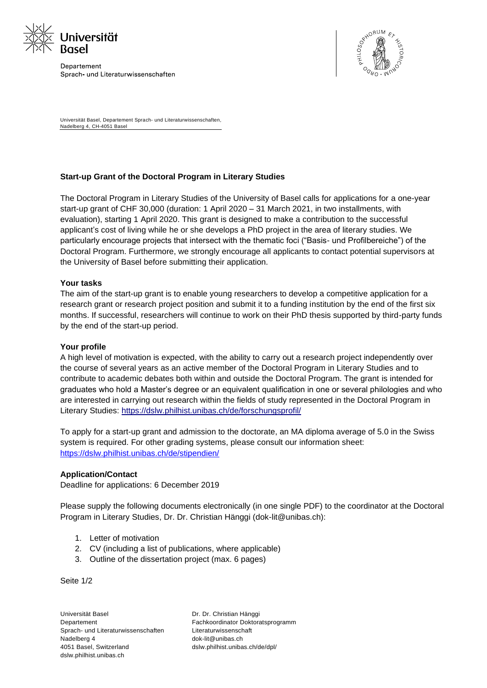

Departement Sprach- und Literaturwissenschaften



Universität Basel, Departement Sprach- und Literaturwissenschaften, Nadelberg 4, CH-4051 Basel

## **Start-up Grant of the Doctoral Program in Literary Studies**

The Doctoral Program in Literary Studies of the University of Basel calls for applications for a one-year start-up grant of CHF 30,000 (duration: 1 April 2020 – 31 March 2021, in two installments, with evaluation), starting 1 April 2020. This grant is designed to make a contribution to the successful applicant's cost of living while he or she develops a PhD project in the area of literary studies. We particularly encourage projects that intersect with the thematic foci ("Basis- und Profilbereiche") of the Doctoral Program. Furthermore, we strongly encourage all applicants to contact potential supervisors at the University of Basel before submitting their application.

## **Your tasks**

The aim of the start-up grant is to enable young researchers to develop a competitive application for a research grant or research project position and submit it to a funding institution by the end of the first six months. If successful, researchers will continue to work on their PhD thesis supported by third-party funds by the end of the start-up period.

## **Your profile**

A high level of motivation is expected, with the ability to carry out a research project independently over the course of several years as an active member of the Doctoral Program in Literary Studies and to contribute to academic debates both within and outside the Doctoral Program. The grant is intended for graduates who hold a Master's degree or an equivalent qualification in one or several philologies and who are interested in carrying out research within the fields of study represented in the Doctoral Program in Literary Studies:<https://dslw.philhist.unibas.ch/de/forschungsprofil/>

To apply for a start-up grant and admission to the doctorate, an MA diploma average of 5.0 in the Swiss system is required. For other grading systems, please consult our information sheet: <https://dslw.philhist.unibas.ch/de/stipendien/>

## **Application/Contact**

Deadline for applications: 6 December 2019

Please supply the following documents electronically (in one single PDF) to the coordinator at the Doctoral Program in Literary Studies, Dr. Dr. Christian Hänggi (dok-lit@unibas.ch):

- 1. Letter of motivation
- 2. CV (including a list of publications, where applicable)
- 3. Outline of the dissertation project (max. 6 pages)

Seite 1/2

Universität Basel **Departement** Sprach- und Literaturwissenschaften Nadelberg 4 4051 Basel, Switzerland dslw.philhist.unibas.ch

Dr. Dr. Christian Hänggi Fachkoordinator Doktoratsprogramm Literaturwissenschaft dok-lit@unibas.ch dslw.philhist.unibas.ch/de/dpl/